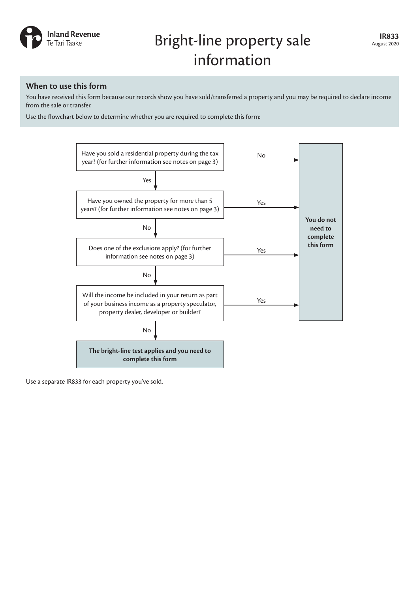

## **When to use this form**

You have received this form because our records show you have sold/transferred a property and you may be required to declare income from the sale or transfer.

Use the flowchart below to determine whether you are required to complete this form:



Use a separate IR833 for each property you've sold.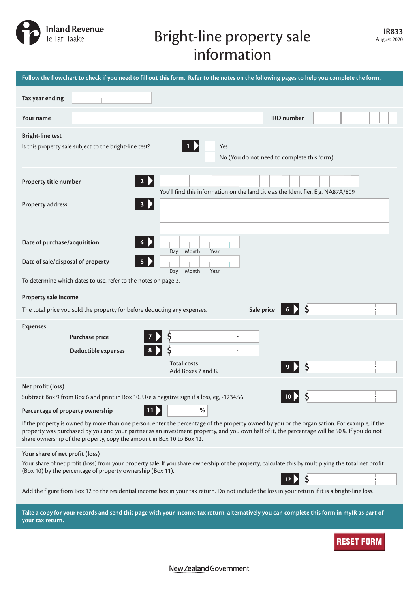

# **IR833** Bright-line property sale August 2020 information

| Follow the flowchart to check if you need to fill out this form. Refer to the notes on the following pages to help you complete the form.                                                                                                                                                                                                                            |                                                                                  |  |
|----------------------------------------------------------------------------------------------------------------------------------------------------------------------------------------------------------------------------------------------------------------------------------------------------------------------------------------------------------------------|----------------------------------------------------------------------------------|--|
| Tax year ending                                                                                                                                                                                                                                                                                                                                                      |                                                                                  |  |
| Your name                                                                                                                                                                                                                                                                                                                                                            | <b>IRD</b> number                                                                |  |
| <b>Bright-line test</b><br>Is this property sale subject to the bright-line test?                                                                                                                                                                                                                                                                                    | Ð<br>Yes<br>No (You do not need to complete this form)                           |  |
| Property title number<br>$\overline{2}$                                                                                                                                                                                                                                                                                                                              | You'll find this information on the land title as the Identifier. E.g. NA87A/809 |  |
| $\mathbf{3}$<br><b>Property address</b>                                                                                                                                                                                                                                                                                                                              |                                                                                  |  |
| Date of purchase/acquisition                                                                                                                                                                                                                                                                                                                                         | Month<br>Year<br>Day                                                             |  |
| Date of sale/disposal of property                                                                                                                                                                                                                                                                                                                                    | Month<br>Day<br>Year                                                             |  |
| To determine which dates to use, refer to the notes on page 3.                                                                                                                                                                                                                                                                                                       |                                                                                  |  |
| Property sale income<br>The total price you sold the property for before deducting any expenses.                                                                                                                                                                                                                                                                     | Sale price                                                                       |  |
| <b>Expenses</b><br>Purchase price<br>Deductible expenses                                                                                                                                                                                                                                                                                                             | \$                                                                               |  |
|                                                                                                                                                                                                                                                                                                                                                                      | <b>Total costs</b><br>Add Boxes 7 and 8.                                         |  |
| Net profit (loss)<br>Subtract Box 9 from Box 6 and print in Box 10. Use a negative sign if a loss, eg, -1234.56                                                                                                                                                                                                                                                      |                                                                                  |  |
| Percentage of property ownership<br>$\overline{11}$                                                                                                                                                                                                                                                                                                                  | $\%$                                                                             |  |
| If the property is owned by more than one person, enter the percentage of the property owned by you or the organisation. For example, if the<br>property was purchased by you and your partner as an investment property, and you own half of it, the percentage will be 50%. If you do not<br>share ownership of the property, copy the amount in Box 10 to Box 12. |                                                                                  |  |
| Your share of net profit (loss)<br>Your share of net profit (loss) from your property sale. If you share ownership of the property, calculate this by multiplying the total net profit<br>(Box 10) by the percentage of property ownership (Box 11).                                                                                                                 |                                                                                  |  |
| Ş<br>Add the figure from Box 12 to the residential income box in your tax return. Do not include the loss in your return if it is a bright-line loss.                                                                                                                                                                                                                |                                                                                  |  |
| Take a copy for your records and send this page with your income tax return, alternatively you can complete this form in myIR as part of<br>your tax return.                                                                                                                                                                                                         |                                                                                  |  |
|                                                                                                                                                                                                                                                                                                                                                                      | <b>RESET FORM</b>                                                                |  |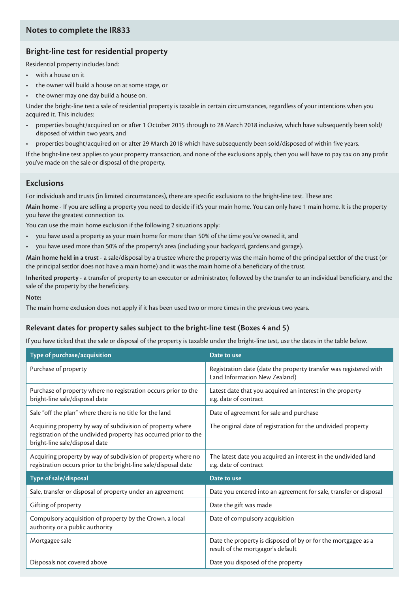# **Bright-line test for residential property**

Residential property includes land:

- with a house on it
- the owner will build a house on at some stage, or
- the owner may one day build a house on.

Under the bright-line test a sale of residential property is taxable in certain circumstances, regardless of your intentions when you acquired it. This includes:

- properties bought/acquired on or after 1 October 2015 through to 28 March 2018 inclusive, which have subsequently been sold/ disposed of within two years, and
- properties bought/acquired on or after 29 March 2018 which have subsequently been sold/disposed of within five years.

If the bright-line test applies to your property transaction, and none of the exclusions apply, then you will have to pay tax on any profit you've made on the sale or disposal of the property.

# **Exclusions**

For individuals and trusts (in limited circumstances), there are specific exclusions to the bright-line test. These are:

**Main home** - If you are selling a property you need to decide if it's your main home. You can only have 1 main home. It is the property you have the greatest connection to.

You can use the main home exclusion if the following 2 situations apply:

- you have used a property as your main home for more than 50% of the time you've owned it, and
- you have used more than 50% of the property's area (including your backyard, gardens and garage).

**Main home held in a trust** - a sale/disposal by a trustee where the property was the main home of the principal settlor of the trust (or the principal settlor does not have a main home) and it was the main home of a beneficiary of the trust.

**Inherited property** - a transfer of property to an executor or administrator, followed by the transfer to an individual beneficiary, and the sale of the property by the beneficiary.

#### **Note:**

The main home exclusion does not apply if it has been used two or more times in the previous two years.

# **Relevant dates for property sales subject to the bright-line test (Boxes 4 and 5)**

If you have ticked that the sale or disposal of the property is taxable under the bright-line test, use the dates in the table below.

| Type of purchase/acquisition                                                                                                                                     | Date to use                                                                                        |
|------------------------------------------------------------------------------------------------------------------------------------------------------------------|----------------------------------------------------------------------------------------------------|
| Purchase of property                                                                                                                                             | Registration date (date the property transfer was registered with<br>Land Information New Zealand) |
| Purchase of property where no registration occurs prior to the<br>bright-line sale/disposal date                                                                 | Latest date that you acquired an interest in the property<br>e.g. date of contract                 |
| Sale "off the plan" where there is no title for the land                                                                                                         | Date of agreement for sale and purchase                                                            |
| Acquiring property by way of subdivision of property where<br>registration of the undivided property has occurred prior to the<br>bright-line sale/disposal date | The original date of registration for the undivided property                                       |
| Acquiring property by way of subdivision of property where no<br>registration occurs prior to the bright-line sale/disposal date                                 | The latest date you acquired an interest in the undivided land<br>e.g. date of contract            |
| Type of sale/disposal                                                                                                                                            | Date to use                                                                                        |
| Sale, transfer or disposal of property under an agreement                                                                                                        | Date you entered into an agreement for sale, transfer or disposal                                  |
| Gifting of property                                                                                                                                              | Date the gift was made                                                                             |
| Compulsory acquisition of property by the Crown, a local<br>authority or a public authority                                                                      | Date of compulsory acquisition                                                                     |
| Mortgagee sale                                                                                                                                                   | Date the property is disposed of by or for the mortgagee as a<br>result of the mortgagor's default |
| Disposals not covered above                                                                                                                                      | Date you disposed of the property                                                                  |